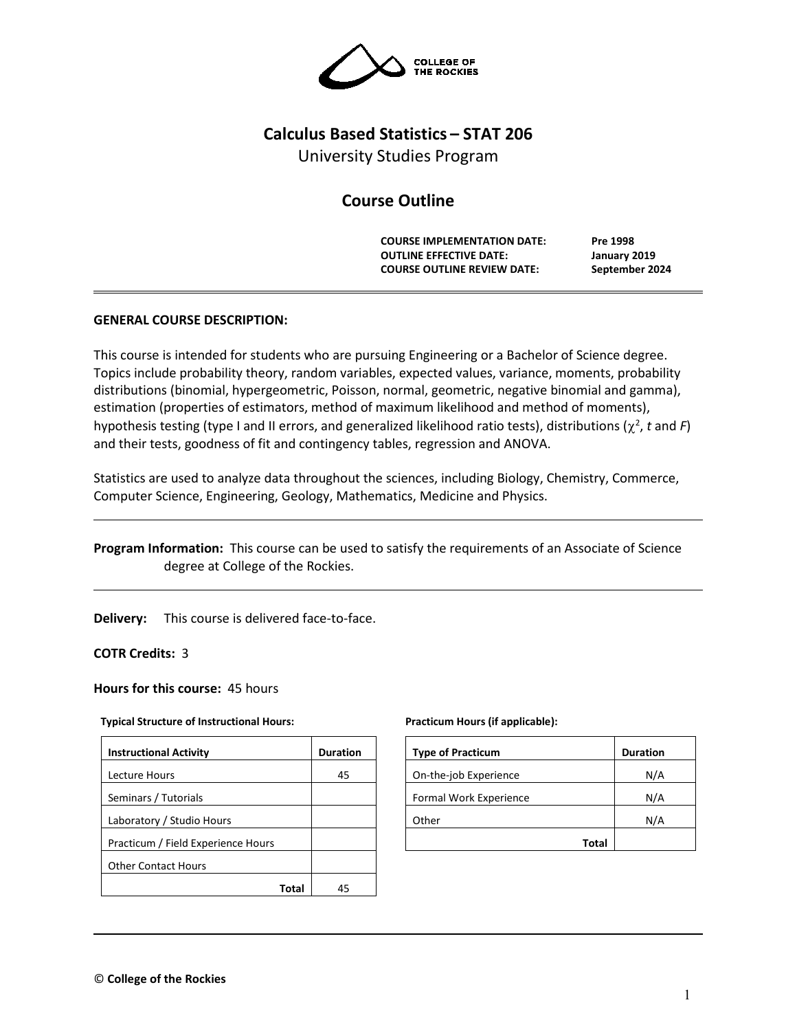

# **Calculus Based Statistics – STAT 206**

University Studies Program

# **Course Outline**

**COURSE IMPLEMENTATION DATE: Pre 1998 OUTLINE EFFECTIVE DATE: January 2019 COURSE OUTLINE REVIEW DATE: September 2024**

## **GENERAL COURSE DESCRIPTION:**

This course is intended for students who are pursuing Engineering or a Bachelor of Science degree. Topics include probability theory, random variables, expected values, variance, moments, probability distributions (binomial, hypergeometric, Poisson, normal, geometric, negative binomial and gamma), estimation (properties of estimators, method of maximum likelihood and method of moments), hypothesis testing (type I and II errors, and generalized likelihood ratio tests), distributions ( $\chi^2$ , t and F) and their tests, goodness of fit and contingency tables, regression and ANOVA.

Statistics are used to analyze data throughout the sciences, including Biology, Chemistry, Commerce, Computer Science, Engineering, Geology, Mathematics, Medicine and Physics.

**Program Information:** This course can be used to satisfy the requirements of an Associate of Science degree at College of the Rockies.

**Delivery:** This course is delivered face-to-face.

**COTR Credits:** 3

#### **Hours for this course:** 45 hours

#### **Typical Structure of Instructional Hours:**

| <b>Instructional Activity</b>      | <b>Duration</b> |
|------------------------------------|-----------------|
| Lecture Hours                      | 45              |
| Seminars / Tutorials               |                 |
| Laboratory / Studio Hours          |                 |
| Practicum / Field Experience Hours |                 |
| <b>Other Contact Hours</b>         |                 |
| Total                              | 45              |

#### **Practicum Hours (if applicable):**

| <b>Type of Practicum</b> | <b>Duration</b> |
|--------------------------|-----------------|
| On-the-job Experience    | N/A             |
| Formal Work Experience   | N/A             |
| Other                    | N/A             |
| Total                    |                 |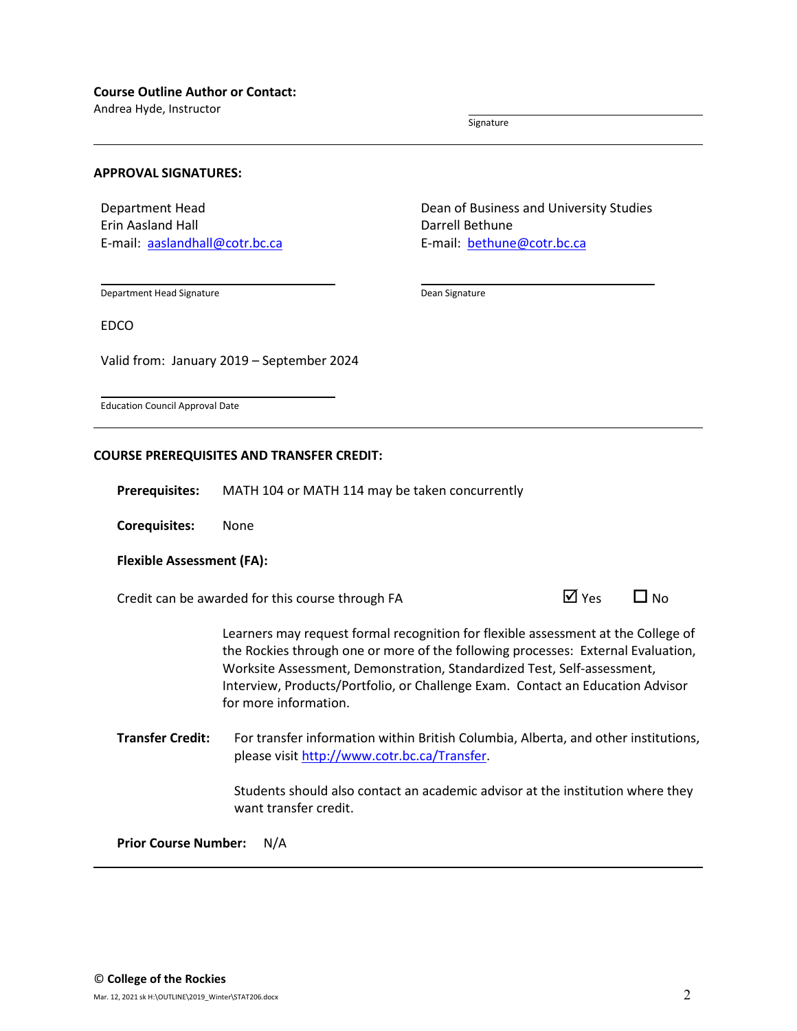Andrea Hyde, Instructor

Signature

#### **APPROVAL SIGNATURES:**

Department Head Erin Aasland Hall E-mail: [aaslandhall@cotr.bc.ca](mailto:aaslandhall@cotr.bc.ca) Dean of Business and University Studies Darrell Bethune E-mail: [bethune@cotr.bc.ca](mailto:bethune@cotr.bc.ca)

Department Head Signature

Dean Signature

EDCO

Valid from: January 2019 – September 2024

Education Council Approval Date

#### **COURSE PREREQUISITES AND TRANSFER CREDIT:**

**Prerequisites:** MATH 104 or MATH 114 may be taken concurrently

**Corequisites:** None

#### **Flexible Assessment (FA):**

Credit can be awarded for this course through FA  $\Box$  Yes  $\Box$  No

Learners may request formal recognition for flexible assessment at the College of the Rockies through one or more of the following processes: External Evaluation, Worksite Assessment, Demonstration, Standardized Test, Self-assessment, Interview, Products/Portfolio, or Challenge Exam. Contact an Education Advisor for more information.

**Transfer Credit:** For transfer information within British Columbia, Alberta, and other institutions, please visit [http://www.cotr.bc.ca/Transfer.](http://www.cotr.bc.ca/Transfer)

> Students should also contact an academic advisor at the institution where they want transfer credit.

**Prior Course Number:** N/A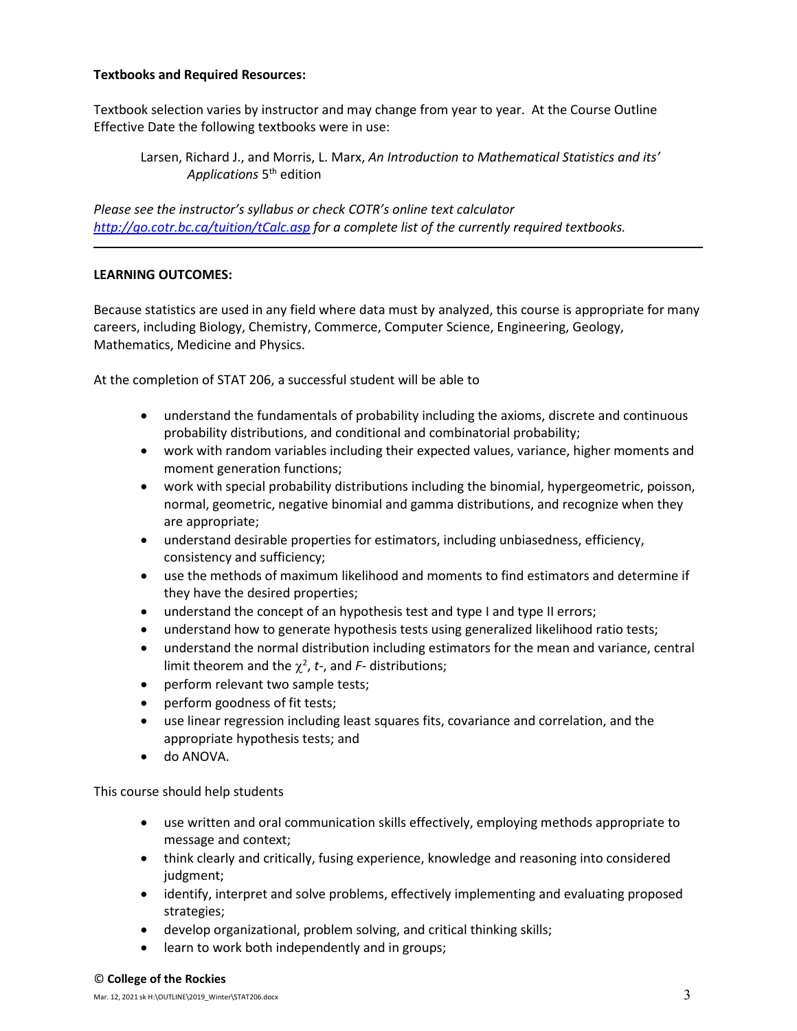## **Textbooks and Required Resources:**

Textbook selection varies by instructor and may change from year to year. At the Course Outline Effective Date the following textbooks were in use:

*Please see the instructor's syllabus or check COTR's online text calculator <http://go.cotr.bc.ca/tuition/tCalc.asp> for a complete list of the currently required textbooks.*

## **LEARNING OUTCOMES:**

Because statistics are used in any field where data must by analyzed, this course is appropriate for many careers, including Biology, Chemistry, Commerce, Computer Science, Engineering, Geology, Mathematics, Medicine and Physics.

At the completion of STAT 206, a successful student will be able to

- understand the fundamentals of probability including the axioms, discrete and continuous probability distributions, and conditional and combinatorial probability;
- work with random variables including their expected values, variance, higher moments and moment generation functions;
- work with special probability distributions including the binomial, hypergeometric, poisson, normal, geometric, negative binomial and gamma distributions, and recognize when they are appropriate;
- understand desirable properties for estimators, including unbiasedness, efficiency, consistency and sufficiency;
- use the methods of maximum likelihood and moments to find estimators and determine if they have the desired properties;
- understand the concept of an hypothesis test and type I and type II errors;
- understand how to generate hypothesis tests using generalized likelihood ratio tests;
- understand the normal distribution including estimators for the mean and variance, central limit theorem and the  $\chi^2$ , *t*-, and *F*- distributions;
- perform relevant two sample tests;
- perform goodness of fit tests;
- use linear regression including least squares fits, covariance and correlation, and the appropriate hypothesis tests; and
- do ANOVA.

This course should help students

- use written and oral communication skills effectively, employing methods appropriate to message and context;
- think clearly and critically, fusing experience, knowledge and reasoning into considered iudgment:
- identify, interpret and solve problems, effectively implementing and evaluating proposed strategies;
- develop organizational, problem solving, and critical thinking skills;
- learn to work both independently and in groups;

Larsen, Richard J., and Morris, L. Marx, *An Introduction to Mathematical Statistics and its' Applications* 5th edition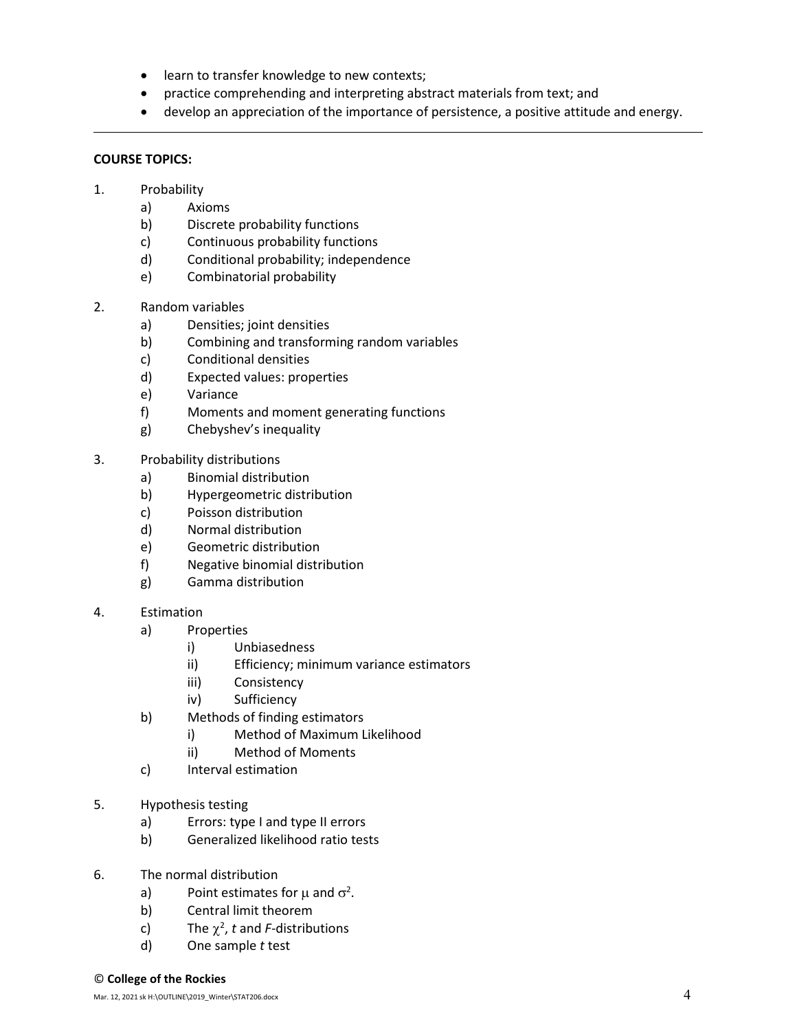- learn to transfer knowledge to new contexts;
- practice comprehending and interpreting abstract materials from text; and
- develop an appreciation of the importance of persistence, a positive attitude and energy.

# **COURSE TOPICS:**

- 1. Probability
	- a) Axioms
	- b) Discrete probability functions
	- c) Continuous probability functions
	- d) Conditional probability; independence
	- e) Combinatorial probability
- 2. Random variables
	- a) Densities; joint densities
	- b) Combining and transforming random variables
	- c) Conditional densities
	- d) Expected values: properties
	- e) Variance
	- f) Moments and moment generating functions
	- g) Chebyshev's inequality
- 3. Probability distributions
	- a) Binomial distribution
	- b) Hypergeometric distribution
	- c) Poisson distribution
	- d) Normal distribution
	- e) Geometric distribution
	- f) Negative binomial distribution
	- g) Gamma distribution
- 4. Estimation
	- a) Properties
		- i) Unbiasedness
		- ii) Efficiency; minimum variance estimators
		- iii) Consistency
		- iv) Sufficiency
	- b) Methods of finding estimators
		- i) Method of Maximum Likelihood
		- ii) Method of Moments
	- c) Interval estimation
- 5. Hypothesis testing
	- a) Errors: type I and type II errors
	- b) Generalized likelihood ratio tests
- 6. The normal distribution
	- a) Point estimates for  $\mu$  and  $\sigma^2$ .
	- b) Central limit theorem
	- c) The  $\chi^2$ , t and *F*-distributions
	- d) One sample *t* test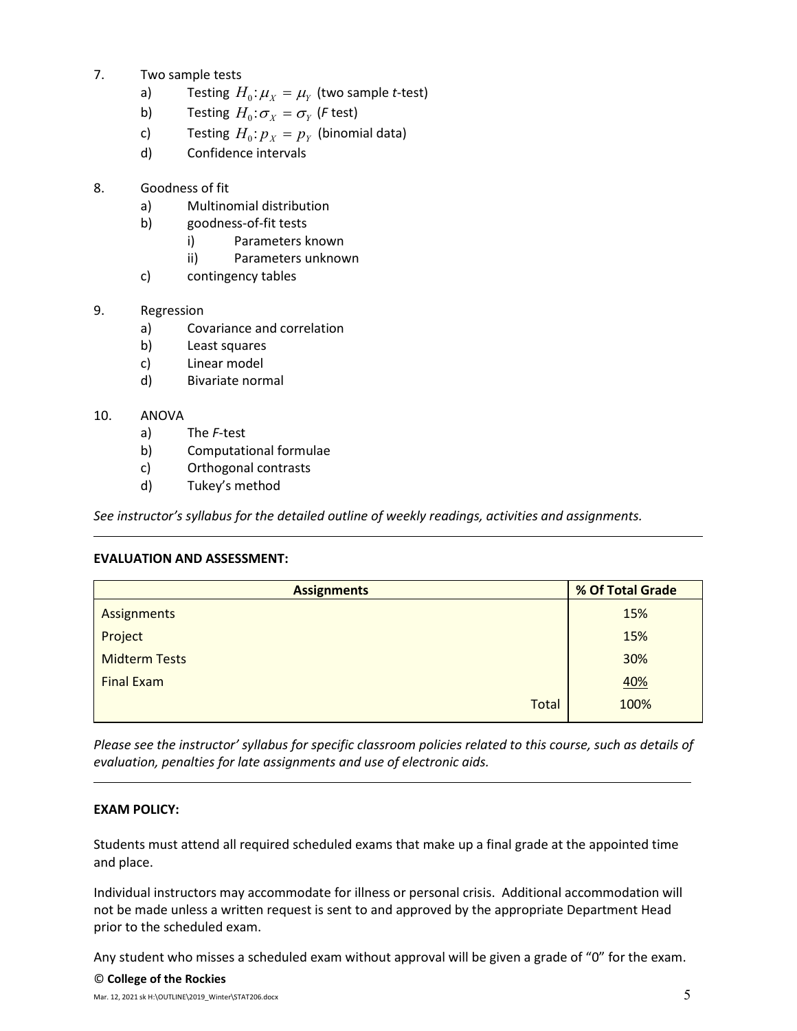- 7. Two sample tests
	- a) Testing  $H_0: \mu_X = \mu_Y$  (two sample *t*-test)
	- b) Testing  $H_0: \sigma_X = \sigma_Y$  (*F* test)
	- c) Testing  $H_0: p_X = p_Y$  (binomial data)
	- d) Confidence intervals
- 8. Goodness of fit
	- a) Multinomial distribution
	- b) goodness-of-fit tests
		- i) Parameters known
		- ii) Parameters unknown
	- c) contingency tables
- 9. Regression
	- a) Covariance and correlation
	- b) Least squares
	- c) Linear model
	- d) Bivariate normal

# 10. ANOVA

- a) The *F*-test
- b) Computational formulae
- c) Orthogonal contrasts
- d) Tukey's method

*See instructor's syllabus for the detailed outline of weekly readings, activities and assignments.* 

# **EVALUATION AND ASSESSMENT:**

| <b>Assignments</b>   | % Of Total Grade |  |  |
|----------------------|------------------|--|--|
| Assignments          | 15%              |  |  |
| Project              | 15%              |  |  |
| <b>Midterm Tests</b> | 30%              |  |  |
| <b>Final Exam</b>    | <u>40%</u>       |  |  |
| <b>Total</b>         | 100%             |  |  |

*Please see the instructor' syllabus for specific classroom policies related to this course, such as details of evaluation, penalties for late assignments and use of electronic aids.*

# **EXAM POLICY:**

Students must attend all required scheduled exams that make up a final grade at the appointed time and place.

Individual instructors may accommodate for illness or personal crisis. Additional accommodation will not be made unless a written request is sent to and approved by the appropriate Department Head prior to the scheduled exam.

Any student who misses a scheduled exam without approval will be given a grade of "0" for the exam.

### © **College of the Rockies**